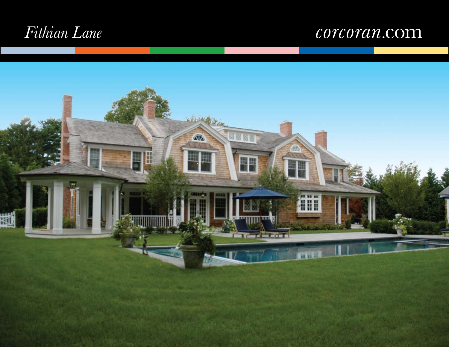# *Fithian Lane*

## corcoran.com